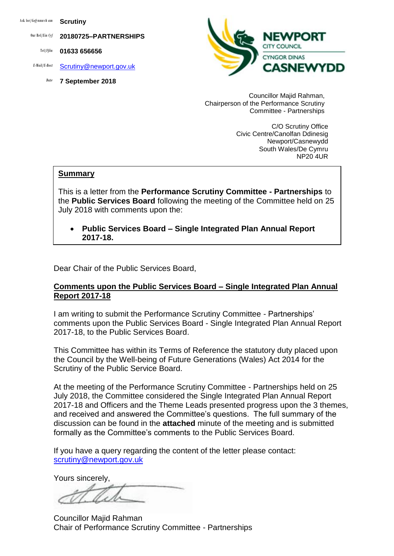Ask for/*Gofynnwch am* **Scrutiny**

Our Ref/*Ein Cyf* **20180725–PARTNERSHIPS**

Tel/*Ffôn* **01633 656656**

- *E-Mail/E-Bost* [Scrutiny@newport.gov.uk](mailto:Scrutiny@newport.gov.uk)
	- *Date* **7 September 2018**



Councillor Majid Rahman, Chairperson of the Performance Scrutiny Committee - Partnerships

> C/O Scrutiny Office Civic Centre/Canolfan Ddinesig Newport/Casnewydd South Wales/De Cymru NP20 4UR

#### **Summary**

This is a letter from the **Performance Scrutiny Committee - Partnerships** to the **Public Services Board** following the meeting of the Committee held on 25 July 2018 with comments upon the:

 **Public Services Board – Single Integrated Plan Annual Report 2017-18.**

Dear Chair of the Public Services Board,

#### **Comments upon the Public Services Board – Single Integrated Plan Annual Report 2017-18**

I am writing to submit the Performance Scrutiny Committee - Partnerships' comments upon the Public Services Board - Single Integrated Plan Annual Report 2017-18, to the Public Services Board.

This Committee has within its Terms of Reference the statutory duty placed upon the Council by the Well-being of Future Generations (Wales) Act 2014 for the Scrutiny of the Public Service Board.

At the meeting of the Performance Scrutiny Committee - Partnerships held on 25 July 2018, the Committee considered the Single Integrated Plan Annual Report 2017-18 and Officers and the Theme Leads presented progress upon the 3 themes, and received and answered the Committee's questions. The full summary of the discussion can be found in the **attached** minute of the meeting and is submitted formally as the Committee's comments to the Public Services Board.

If you have a query regarding the content of the letter please contact: [scrutiny@newport.gov.uk](mailto:scrutiny@newport.gov.uk)

Yours sincerely,

Councillor Majid Rahman Chair of Performance Scrutiny Committee - Partnerships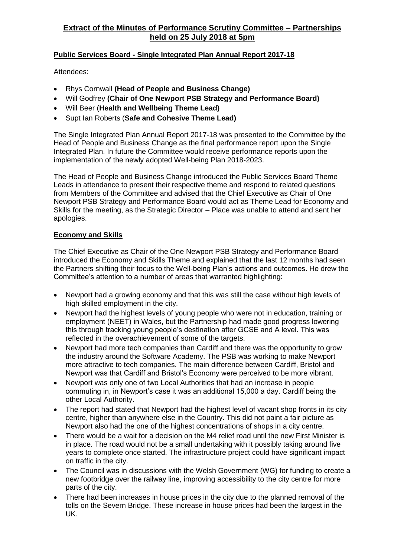### **Public Services Board - Single Integrated Plan Annual Report 2017-18**

Attendees:

- Rhys Cornwall **(Head of People and Business Change)**
- Will Godfrey **(Chair of One Newport PSB Strategy and Performance Board)**
- Will Beer (**Health and Wellbeing Theme Lead)**
- Supt Ian Roberts (**Safe and Cohesive Theme Lead)**

The Single Integrated Plan Annual Report 2017-18 was presented to the Committee by the Head of People and Business Change as the final performance report upon the Single Integrated Plan. In future the Committee would receive performance reports upon the implementation of the newly adopted Well-being Plan 2018-2023.

The Head of People and Business Change introduced the Public Services Board Theme Leads in attendance to present their respective theme and respond to related questions from Members of the Committee and advised that the Chief Executive as Chair of One Newport PSB Strategy and Performance Board would act as Theme Lead for Economy and Skills for the meeting, as the Strategic Director – Place was unable to attend and sent her apologies.

#### **Economy and Skills**

The Chief Executive as Chair of the One Newport PSB Strategy and Performance Board introduced the Economy and Skills Theme and explained that the last 12 months had seen the Partners shifting their focus to the Well-being Plan's actions and outcomes. He drew the Committee's attention to a number of areas that warranted highlighting:

- Newport had a growing economy and that this was still the case without high levels of high skilled employment in the city.
- Newport had the highest levels of young people who were not in education, training or employment (NEET) in Wales, but the Partnership had made good progress lowering this through tracking young people's destination after GCSE and A level. This was reflected in the overachievement of some of the targets.
- Newport had more tech companies than Cardiff and there was the opportunity to grow the industry around the Software Academy. The PSB was working to make Newport more attractive to tech companies. The main difference between Cardiff, Bristol and Newport was that Cardiff and Bristol's Economy were perceived to be more vibrant.
- Newport was only one of two Local Authorities that had an increase in people commuting in, in Newport's case it was an additional 15,000 a day. Cardiff being the other Local Authority.
- The report had stated that Newport had the highest level of vacant shop fronts in its city centre, higher than anywhere else in the Country. This did not paint a fair picture as Newport also had the one of the highest concentrations of shops in a city centre.
- There would be a wait for a decision on the M4 relief road until the new First Minister is in place. The road would not be a small undertaking with it possibly taking around five years to complete once started. The infrastructure project could have significant impact on traffic in the city.
- The Council was in discussions with the Welsh Government (WG) for funding to create a new footbridge over the railway line, improving accessibility to the city centre for more parts of the city.
- There had been increases in house prices in the city due to the planned removal of the tolls on the Severn Bridge. These increase in house prices had been the largest in the UK.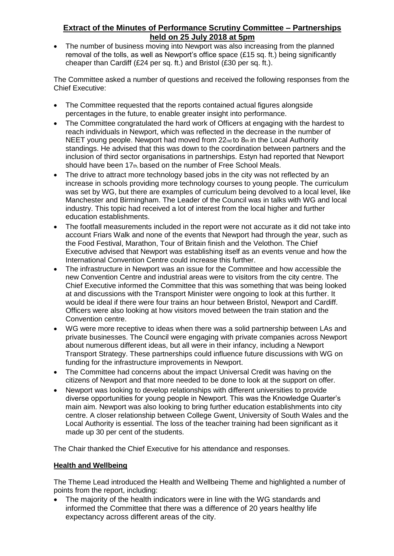The number of business moving into Newport was also increasing from the planned removal of the tolls, as well as Newport's office space  $(E15$  sq. ft.) being significantly cheaper than Cardiff (£24 per sq. ft.) and Bristol (£30 per sq. ft.).

The Committee asked a number of questions and received the following responses from the Chief Executive:

- The Committee requested that the reports contained actual figures alongside percentages in the future, to enable greater insight into performance.
- The Committee congratulated the hard work of Officers at engaging with the hardest to reach individuals in Newport, which was reflected in the decrease in the number of NEET young people. Newport had moved from 22<sub>nd</sub> to 8th in the Local Authority standings. He advised that this was down to the coordination between partners and the inclusion of third sector organisations in partnerships. Estyn had reported that Newport should have been 17th, based on the number of Free School Meals.
- The drive to attract more technology based jobs in the city was not reflected by an increase in schools providing more technology courses to young people. The curriculum was set by WG, but there are examples of curriculum being devolved to a local level, like Manchester and Birmingham. The Leader of the Council was in talks with WG and local industry. This topic had received a lot of interest from the local higher and further education establishments.
- The footfall measurements included in the report were not accurate as it did not take into account Friars Walk and none of the events that Newport had through the year, such as the Food Festival, Marathon, Tour of Britain finish and the Velothon. The Chief Executive advised that Newport was establishing itself as an events venue and how the International Convention Centre could increase this further.
- The infrastructure in Newport was an issue for the Committee and how accessible the new Convention Centre and industrial areas were to visitors from the city centre. The Chief Executive informed the Committee that this was something that was being looked at and discussions with the Transport Minister were ongoing to look at this further. It would be ideal if there were four trains an hour between Bristol, Newport and Cardiff. Officers were also looking at how visitors moved between the train station and the Convention centre.
- WG were more receptive to ideas when there was a solid partnership between LAs and private businesses. The Council were engaging with private companies across Newport about numerous different ideas, but all were in their infancy, including a Newport Transport Strategy. These partnerships could influence future discussions with WG on funding for the infrastructure improvements in Newport.
- The Committee had concerns about the impact Universal Credit was having on the citizens of Newport and that more needed to be done to look at the support on offer.
- Newport was looking to develop relationships with different universities to provide diverse opportunities for young people in Newport. This was the Knowledge Quarter's main aim. Newport was also looking to bring further education establishments into city centre. A closer relationship between College Gwent, University of South Wales and the Local Authority is essential. The loss of the teacher training had been significant as it made up 30 per cent of the students.

The Chair thanked the Chief Executive for his attendance and responses.

### **Health and Wellbeing**

The Theme Lead introduced the Health and Wellbeing Theme and highlighted a number of points from the report, including:

• The majority of the health indicators were in line with the WG standards and informed the Committee that there was a difference of 20 years healthy life expectancy across different areas of the city.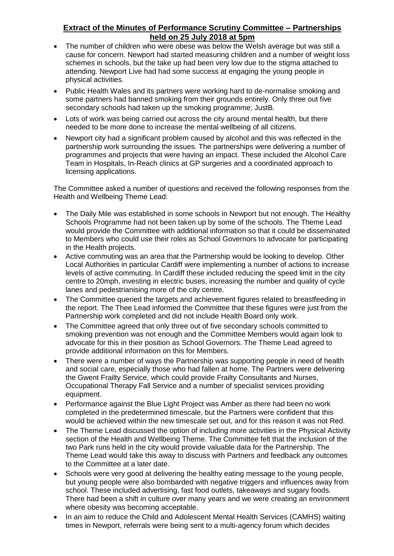- The number of children who were obese was below the Welsh average but was still a cause for concern. Newport had started measuring children and a number of weight loss schemes in schools, but the take up had been very low due to the stigma attached to attending. Newport Live had had some success at engaging the young people in physical activities.
- Public Health Wales and its partners were working hard to de-normalise smoking and some partners had banned smoking from their grounds entirely. Only three out five secondary schools had taken up the smoking programme; JustB.
- Lots of work was being carried out across the city around mental health, but there needed to be more done to increase the mental wellbeing of all citizens.
- Newport city had a significant problem caused by alcohol and this was reflected in the partnership work surrounding the issues. The partnerships were delivering a number of programmes and projects that were having an impact. These included the Alcohol Care Team in Hospitals, In-Reach clinics at GP surgeries and a coordinated approach to licensing applications.

The Committee asked a number of questions and received the following responses from the Health and Wellbeing Theme Lead:

- The Daily Mile was established in some schools in Newport but not enough. The Healthy Schools Programme had not been taken up by some of the schools. The Theme Lead would provide the Committee with additional information so that it could be disseminated to Members who could use their roles as School Governors to advocate for participating in the Health projects.
- Active commuting was an area that the Partnership would be looking to develop. Other Local Authorities in particular Cardiff were implementing a number of actions to increase levels of active commuting. In Cardiff these included reducing the speed limit in the city centre to 20mph, investing in electric buses, increasing the number and quality of cycle lanes and pedestrianising more of the city centre.
- The Committee queried the targets and achievement figures related to breastfeeding in the report. The Thee Lead informed the Committee that these figures were just from the Partnership work completed and did not include Health Board only work.
- The Committee agreed that only three out of five secondary schools committed to smoking prevention was not enough and the Committee Members would again look to advocate for this in their position as School Governors. The Theme Lead agreed to provide additional information on this for Members.
- There were a number of ways the Partnership was supporting people in need of health and social care, especially those who had fallen at home. The Partners were delivering the Gwent Frailty Service, which could provide Frailty Consultants and Nurses, Occupational Therapy Fall Service and a number of specialist services providing equipment.
- Performance against the Blue Light Project was Amber as there had been no work completed in the predetermined timescale, but the Partners were confident that this would be achieved within the new timescale set out, and for this reason it was not Red.
- The Theme Lead discussed the option of including more activities in the Physical Activity section of the Health and Wellbeing Theme. The Committee felt that the inclusion of the two Park runs held in the city would provide valuable data for the Partnership. The Theme Lead would take this away to discuss with Partners and feedback any outcomes to the Committee at a later date.
- Schools were very good at delivering the healthy eating message to the young people, but young people were also bombarded with negative triggers and influences away from school. These included advertising, fast food outlets, takeaways and sugary foods. There had been a shift in culture over many years and we were creating an environment where obesity was becoming acceptable.
- In an aim to reduce the Child and Adolescent Mental Health Services (CAMHS) waiting times in Newport, referrals were being sent to a multi-agency forum which decides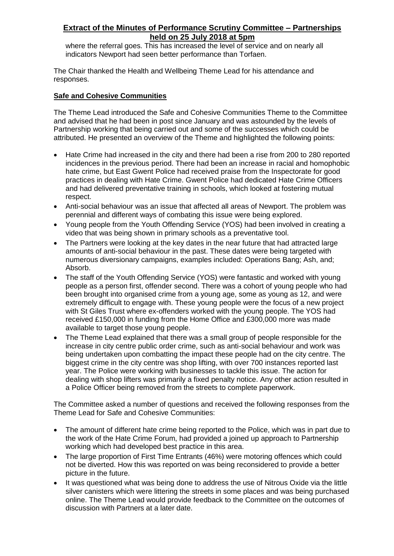where the referral goes. This has increased the level of service and on nearly all indicators Newport had seen better performance than Torfaen.

The Chair thanked the Health and Wellbeing Theme Lead for his attendance and responses.

#### **Safe and Cohesive Communities**

The Theme Lead introduced the Safe and Cohesive Communities Theme to the Committee and advised that he had been in post since January and was astounded by the levels of Partnership working that being carried out and some of the successes which could be attributed. He presented an overview of the Theme and highlighted the following points:

- Hate Crime had increased in the city and there had been a rise from 200 to 280 reported incidences in the previous period. There had been an increase in racial and homophobic hate crime, but East Gwent Police had received praise from the Inspectorate for good practices in dealing with Hate Crime. Gwent Police had dedicated Hate Crime Officers and had delivered preventative training in schools, which looked at fostering mutual respect.
- Anti-social behaviour was an issue that affected all areas of Newport. The problem was perennial and different ways of combating this issue were being explored.
- Young people from the Youth Offending Service (YOS) had been involved in creating a video that was being shown in primary schools as a preventative tool.
- The Partners were looking at the key dates in the near future that had attracted large amounts of anti-social behaviour in the past. These dates were being targeted with numerous diversionary campaigns, examples included: Operations Bang; Ash, and; Absorb.
- The staff of the Youth Offending Service (YOS) were fantastic and worked with young people as a person first, offender second. There was a cohort of young people who had been brought into organised crime from a young age, some as young as 12, and were extremely difficult to engage with. These young people were the focus of a new project with St Giles Trust where ex-offenders worked with the young people. The YOS had received £150,000 in funding from the Home Office and £300,000 more was made available to target those young people.
- The Theme Lead explained that there was a small group of people responsible for the increase in city centre public order crime, such as anti-social behaviour and work was being undertaken upon combatting the impact these people had on the city centre. The biggest crime in the city centre was shop lifting, with over 700 instances reported last year. The Police were working with businesses to tackle this issue. The action for dealing with shop lifters was primarily a fixed penalty notice. Any other action resulted in a Police Officer being removed from the streets to complete paperwork.

The Committee asked a number of questions and received the following responses from the Theme Lead for Safe and Cohesive Communities:

- The amount of different hate crime being reported to the Police, which was in part due to the work of the Hate Crime Forum, had provided a joined up approach to Partnership working which had developed best practice in this area.
- The large proportion of First Time Entrants (46%) were motoring offences which could not be diverted. How this was reported on was being reconsidered to provide a better picture in the future.
- It was questioned what was being done to address the use of Nitrous Oxide via the little silver canisters which were littering the streets in some places and was being purchased online. The Theme Lead would provide feedback to the Committee on the outcomes of discussion with Partners at a later date.